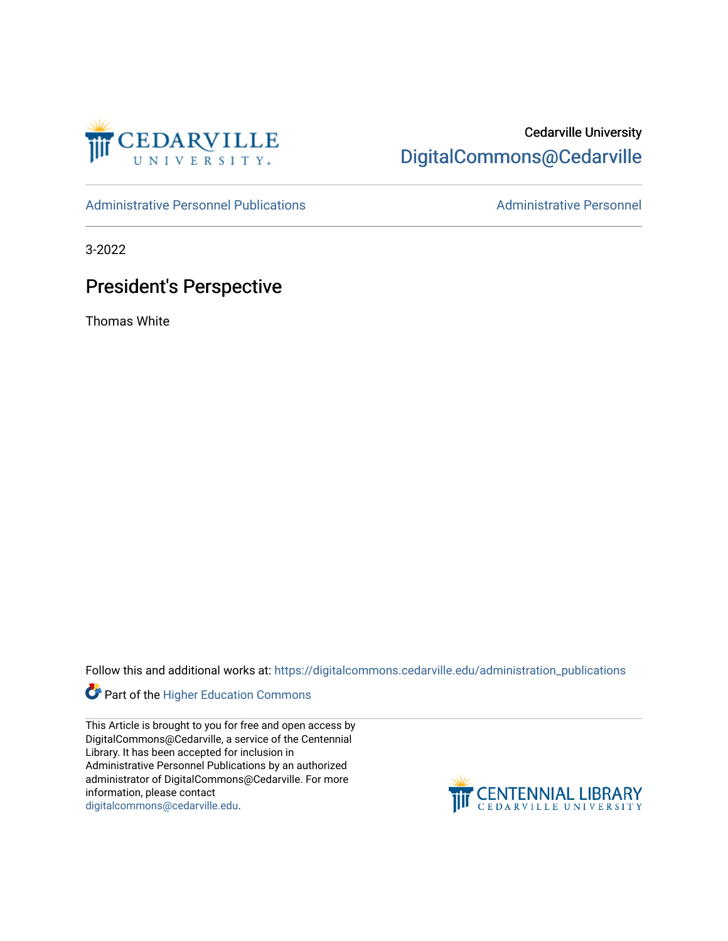

## Cedarville University [DigitalCommons@Cedarville](https://digitalcommons.cedarville.edu/)

[Administrative Personnel Publications](https://digitalcommons.cedarville.edu/administration_publications) **Administrative Personnel** Administrative Personnel

3-2022

## President's Perspective

Thomas White

Follow this and additional works at: [https://digitalcommons.cedarville.edu/administration\\_publications](https://digitalcommons.cedarville.edu/administration_publications?utm_source=digitalcommons.cedarville.edu%2Fadministration_publications%2F261&utm_medium=PDF&utm_campaign=PDFCoverPages) 



This Article is brought to you for free and open access by DigitalCommons@Cedarville, a service of the Centennial Library. It has been accepted for inclusion in Administrative Personnel Publications by an authorized administrator of DigitalCommons@Cedarville. For more information, please contact [digitalcommons@cedarville.edu](mailto:digitalcommons@cedarville.edu).